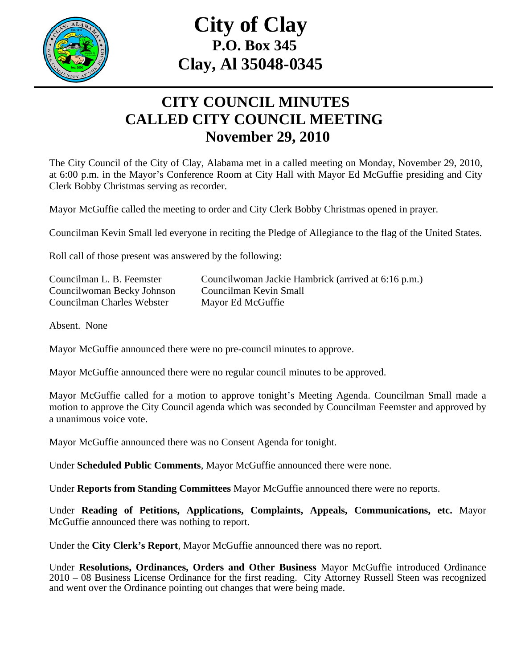

## **City of Clay P.O. Box 345 Clay, Al 35048-0345**

## **CITY COUNCIL MINUTES CALLED CITY COUNCIL MEETING November 29, 2010**

The City Council of the City of Clay, Alabama met in a called meeting on Monday, November 29, 2010, at 6:00 p.m. in the Mayor's Conference Room at City Hall with Mayor Ed McGuffie presiding and City Clerk Bobby Christmas serving as recorder.

Mayor McGuffie called the meeting to order and City Clerk Bobby Christmas opened in prayer.

Councilman Kevin Small led everyone in reciting the Pledge of Allegiance to the flag of the United States.

Roll call of those present was answered by the following:

| Councilman L. B. Feemster  | Councilwoman Jackie Hambrick (arrived at 6:16 p.m.) |
|----------------------------|-----------------------------------------------------|
| Councilwoman Becky Johnson | Councilman Kevin Small                              |
| Councilman Charles Webster | Mayor Ed McGuffie                                   |

Absent. None

Mayor McGuffie announced there were no pre-council minutes to approve.

Mayor McGuffie announced there were no regular council minutes to be approved.

Mayor McGuffie called for a motion to approve tonight's Meeting Agenda. Councilman Small made a motion to approve the City Council agenda which was seconded by Councilman Feemster and approved by a unanimous voice vote.

Mayor McGuffie announced there was no Consent Agenda for tonight.

Under **Scheduled Public Comments**, Mayor McGuffie announced there were none.

Under **Reports from Standing Committees** Mayor McGuffie announced there were no reports.

Under **Reading of Petitions, Applications, Complaints, Appeals, Communications, etc.** Mayor McGuffie announced there was nothing to report.

Under the **City Clerk's Report**, Mayor McGuffie announced there was no report.

Under **Resolutions, Ordinances, Orders and Other Business** Mayor McGuffie introduced Ordinance 2010 – 08 Business License Ordinance for the first reading. City Attorney Russell Steen was recognized and went over the Ordinance pointing out changes that were being made.